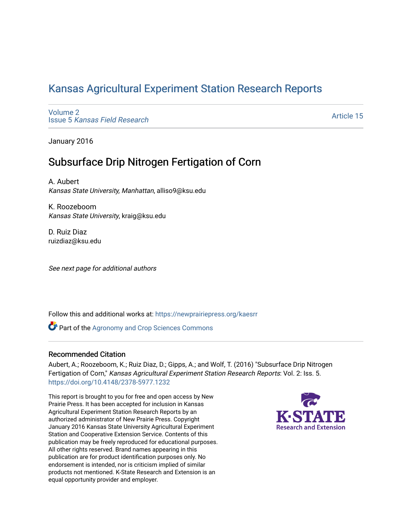# [Kansas Agricultural Experiment Station Research Reports](https://newprairiepress.org/kaesrr)

[Volume 2](https://newprairiepress.org/kaesrr/vol2) Issue 5 [Kansas Field Research](https://newprairiepress.org/kaesrr/vol2/iss5) 

[Article 15](https://newprairiepress.org/kaesrr/vol2/iss5/15) 

January 2016

# Subsurface Drip Nitrogen Fertigation of Corn

A. Aubert Kansas State University, Manhattan, alliso9@ksu.edu

K. Roozeboom Kansas State University, kraig@ksu.edu

D. Ruiz Diaz ruizdiaz@ksu.edu

See next page for additional authors

Follow this and additional works at: [https://newprairiepress.org/kaesrr](https://newprairiepress.org/kaesrr?utm_source=newprairiepress.org%2Fkaesrr%2Fvol2%2Fiss5%2F15&utm_medium=PDF&utm_campaign=PDFCoverPages) 

**Part of the Agronomy and Crop Sciences Commons** 

#### Recommended Citation

Aubert, A.; Roozeboom, K.; Ruiz Diaz, D.; Gipps, A.; and Wolf, T. (2016) "Subsurface Drip Nitrogen Fertigation of Corn," Kansas Agricultural Experiment Station Research Reports: Vol. 2: Iss. 5. <https://doi.org/10.4148/2378-5977.1232>

This report is brought to you for free and open access by New Prairie Press. It has been accepted for inclusion in Kansas Agricultural Experiment Station Research Reports by an authorized administrator of New Prairie Press. Copyright January 2016 Kansas State University Agricultural Experiment Station and Cooperative Extension Service. Contents of this publication may be freely reproduced for educational purposes. All other rights reserved. Brand names appearing in this publication are for product identification purposes only. No endorsement is intended, nor is criticism implied of similar products not mentioned. K-State Research and Extension is an equal opportunity provider and employer.

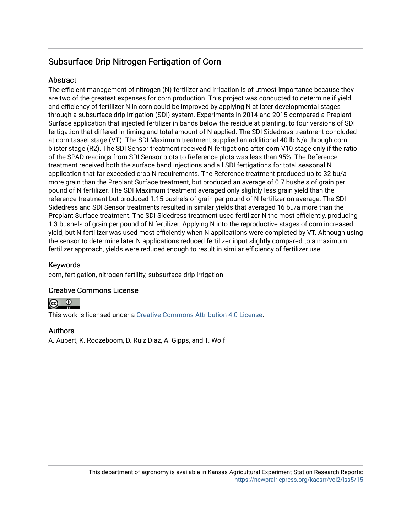# Subsurface Drip Nitrogen Fertigation of Corn

#### **Abstract**

The efficient management of nitrogen (N) fertilizer and irrigation is of utmost importance because they are two of the greatest expenses for corn production. This project was conducted to determine if yield and efficiency of fertilizer N in corn could be improved by applying N at later developmental stages through a subsurface drip irrigation (SDI) system. Experiments in 2014 and 2015 compared a Preplant Surface application that injected fertilizer in bands below the residue at planting, to four versions of SDI fertigation that differed in timing and total amount of N applied. The SDI Sidedress treatment concluded at corn tassel stage (VT). The SDI Maximum treatment supplied an additional 40 lb N/a through corn blister stage (R2). The SDI Sensor treatment received N fertigations after corn V10 stage only if the ratio of the SPAD readings from SDI Sensor plots to Reference plots was less than 95%. The Reference treatment received both the surface band injections and all SDI fertigations for total seasonal N application that far exceeded crop N requirements. The Reference treatment produced up to 32 bu/a more grain than the Preplant Surface treatment, but produced an average of 0.7 bushels of grain per pound of N fertilizer. The SDI Maximum treatment averaged only slightly less grain yield than the reference treatment but produced 1.15 bushels of grain per pound of N fertilizer on average. The SDI Sidedress and SDI Sensor treatments resulted in similar yields that averaged 16 bu/a more than the Preplant Surface treatment. The SDI Sidedress treatment used fertilizer N the most efficiently, producing 1.3 bushels of grain per pound of N fertilizer. Applying N into the reproductive stages of corn increased yield, but N fertilizer was used most efficiently when N applications were completed by VT. Although using the sensor to determine later N applications reduced fertilizer input slightly compared to a maximum fertilizer approach, yields were reduced enough to result in similar efficiency of fertilizer use.

#### Keywords

corn, fertigation, nitrogen fertility, subsurface drip irrigation

#### Creative Commons License



This work is licensed under a [Creative Commons Attribution 4.0 License](https://creativecommons.org/licenses/by/4.0/).

#### Authors

A. Aubert, K. Roozeboom, D. Ruiz Diaz, A. Gipps, and T. Wolf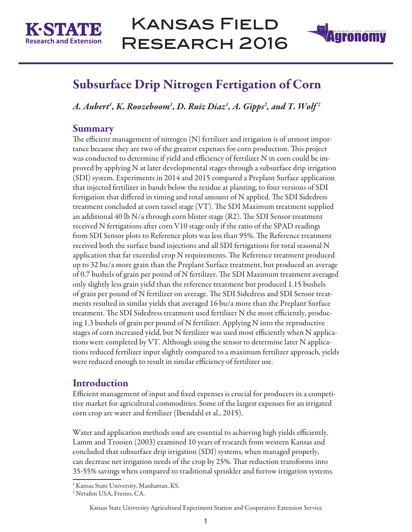



# Subsurface Drip Nitrogen Fertigation of Corn

*A. Aubert1 , K. Roozeboom1 , D. Ruiz Diaz1 , A. Gipps2 , and T. Wolf 2* 

## **Summary**

The efficient management of nitrogen (N) fertilizer and irrigation is of utmost importance because they are two of the greatest expenses for corn production. This project was conducted to determine if yield and efficiency of fertilizer N in corn could be improved by applying N at later developmental stages through a subsurface drip irrigation (SDI) system. Experiments in 2014 and 2015 compared a Preplant Surface application that injected fertilizer in bands below the residue at planting, to four versions of SDI fertigation that differed in timing and total amount of N applied. The SDI Sidedress treatment concluded at corn tassel stage (VT). The SDI Maximum treatment supplied an additional 40 lb N/a through corn blister stage (R2). The SDI Sensor treatment received N fertigations after corn V10 stage only if the ratio of the SPAD readings from SDI Sensor plots to Reference plots was less than 95%. The Reference treatment received both the surface band injections and all SDI fertigations for total seasonal N application that far exceeded crop N requirements. The Reference treatment produced up to 32 bu/a more grain than the Preplant Surface treatment, but produced an average of 0.7 bushels of grain per pound of N fertilizer. The SDI Maximum treatment averaged only slightly less grain yield than the reference treatment but produced 1.15 bushels of grain per pound of N fertilizer on average. The SDI Sidedress and SDI Sensor treatments resulted in similar yields that averaged 16 bu/a more than the Preplant Surface treatment. The SDI Sidedress treatment used fertilizer N the most efficiently, producing 1.3 bushels of grain per pound of N fertilizer. Applying N into the reproductive stages of corn increased yield, but N fertilizer was used most efficiently when N applications were completed by VT. Although using the sensor to determine later N applications reduced fertilizer input slightly compared to a maximum fertilizer approach, yields were reduced enough to result in similar efficiency of fertilizer use.

# Introduction

Efficient management of input and fixed expenses is crucial for producers in a competitive market for agricultural commodities. Some of the largest expenses for an irrigated corn crop are water and fertilizer (Ibendahl et al., 2015).

Water and application methods used are essential to achieving high yields efficiently. Lamm and Trooien (2003) examined 10 years of research from western Kansas and concluded that subsurface drip irrigation (SDI) systems, when managed properly, can decrease net irrigation needs of the crop by 25%. That reduction transforms into 35-55% savings when compared to traditional sprinkler and furrow irrigation systems.

<sup>&</sup>lt;sup>1</sup> Kansas State University, Manhattan, KS.

<sup>2</sup> Netafim USA, Fresno, CA.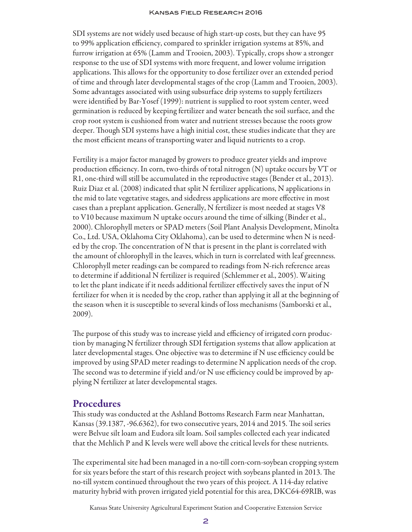SDI systems are not widely used because of high start-up costs, but they can have 95 to 99% application efficiency, compared to sprinkler irrigation systems at 85%, and furrow irrigation at 65% (Lamm and Trooien, 2003). Typically, crops show a stronger response to the use of SDI systems with more frequent, and lower volume irrigation applications. This allows for the opportunity to dose fertilizer over an extended period of time and through later developmental stages of the crop (Lamm and Trooien, 2003). Some advantages associated with using subsurface drip systems to supply fertilizers were identified by Bar-Yosef (1999): nutrient is supplied to root system center, weed germination is reduced by keeping fertilizer and water beneath the soil surface, and the crop root system is cushioned from water and nutrient stresses because the roots grow deeper. Though SDI systems have a high initial cost, these studies indicate that they are the most efficient means of transporting water and liquid nutrients to a crop.

Fertility is a major factor managed by growers to produce greater yields and improve production efficiency. In corn, two-thirds of total nitrogen (N) uptake occurs by VT or R1, one-third will still be accumulated in the reproductive stages (Bender et al., 2013). Ruiz Diaz et al. (2008) indicated that split N fertilizer applications, N applications in the mid to late vegetative stages, and sidedress applications are more effective in most cases than a preplant application. Generally, N fertilizer is most needed at stages V8 to V10 because maximum N uptake occurs around the time of silking (Binder et al., 2000). Chlorophyll meters or SPAD meters (Soil Plant Analysis Development, Minolta Co., Ltd. USA, Oklahoma City Oklahoma), can be used to determine when N is needed by the crop. The concentration of N that is present in the plant is correlated with the amount of chlorophyll in the leaves, which in turn is correlated with leaf greenness. Chlorophyll meter readings can be compared to readings from N-rich reference areas to determine if additional N fertilizer is required (Schlemmer et al., 2005). Waiting to let the plant indicate if it needs additional fertilizer effectively saves the input of N fertilizer for when it is needed by the crop, rather than applying it all at the beginning of the season when it is susceptible to several kinds of loss mechanisms (Samborski et al., 2009).

The purpose of this study was to increase yield and efficiency of irrigated corn production by managing N fertilizer through SDI fertigation systems that allow application at later developmental stages. One objective was to determine if N use efficiency could be improved by using SPAD meter readings to determine N application needs of the crop. The second was to determine if yield and/or N use efficiency could be improved by applying N fertilizer at later developmental stages.

### Procedures

This study was conducted at the Ashland Bottoms Research Farm near Manhattan, Kansas (39.1387, -96.6362), for two consecutive years, 2014 and 2015. The soil series were Belvue silt loam and Eudora silt loam. Soil samples collected each year indicated that the Mehlich P and K levels were well above the critical levels for these nutrients.

The experimental site had been managed in a no-till corn-corn-soybean cropping system for six years before the start of this research project with soybeans planted in 2013. The no-till system continued throughout the two years of this project. A 114-day relative maturity hybrid with proven irrigated yield potential for this area, DKC64-69RIB, was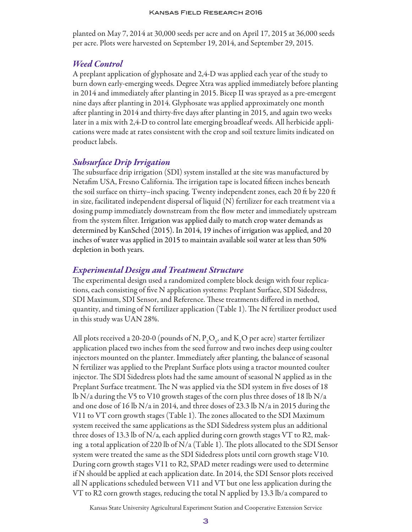planted on May 7, 2014 at 30,000 seeds per acre and on April 17, 2015 at 36,000 seeds per acre. Plots were harvested on September 19, 2014, and September 29, 2015.

#### *Weed Control*

A preplant application of glyphosate and 2,4-D was applied each year of the study to burn down early-emerging weeds. Degree Xtra was applied immediately before planting in 2014 and immediately after planting in 2015. Bicep II was sprayed as a pre-emergent nine days after planting in 2014. Glyphosate was applied approximately one month after planting in 2014 and thirty-five days after planting in 2015, and again two weeks later in a mix with 2,4-D to control late emerging broadleaf weeds. All herbicide applications were made at rates consistent with the crop and soil texture limits indicated on product labels.

#### *Subsurface Drip Irrigation*

The subsurface drip irrigation (SDI) system installed at the site was manufactured by Netafim USA, Fresno California. The irrigation tape is located fifteen inches beneath the soil surface on thirty–inch spacing. Twenty independent zones, each 20 ft by 220 ft in size, facilitated independent dispersal of liquid (N) fertilizer for each treatment via a dosing pump immediately downstream from the flow meter and immediately upstream from the system filter. Irrigation was applied daily to match crop water demands as determined by KanSched (2015). In 2014, 19 inches of irrigation was applied, and 20 inches of water was applied in 2015 to maintain available soil water at less than 50% depletion in both years.

#### *Experimental Design and Treatment Structure*

The experimental design used a randomized complete block design with four replications, each consisting of five N application systems: Preplant Surface, SDI Sidedress, SDI Maximum, SDI Sensor, and Reference. These treatments differed in method, quantity, and timing of N fertilizer application (Table 1). The N fertilizer product used in this study was UAN 28%.

All plots received a 20-20-0 (pounds of N,  $P_2O_5$ , and  $K_2O$  per acre) starter fertilizer application placed two inches from the seed furrow and two inches deep using coulter injectors mounted on the planter. Immediately after planting, the balanceof seasonal N fertilizer was applied to the Preplant Surface plots using a tractor mounted coulter injector. The SDI Sidedress plots had the same amount of seasonal N applied as in the Preplant Surface treatment. The N was applied via the SDI system in five doses of 18 lb N/a during the V5 to V10 growth stages of the corn plus three doses of 18 lb N/a and one dose of 16 lb N/a in 2014, and three doses of 23.3 lb N/a in 2015 during the V11 to VT corn growth stages (Table 1). The zones allocated to the SDI Maximum system received the same applications as the SDI Sidedress system plus an additional three doses of 13.3 lb of  $N/a$ , each applied during corn growth stages VT to R2, making a total application of 220 lb of N/a (Table 1). The plots allocated to the SDI Sensor system were treated the same as the SDI Sidedress plots until corn growth stage V10. During corn growth stages V11 to R2, SPAD meter readings were used to determine if N should be applied at each application date. In 2014, the SDI Sensor plots received all N applications scheduled between V11 and VT but one less application during the VT to R2 corn growth stages, reducing the total N applied by 13.3 lb/a compared to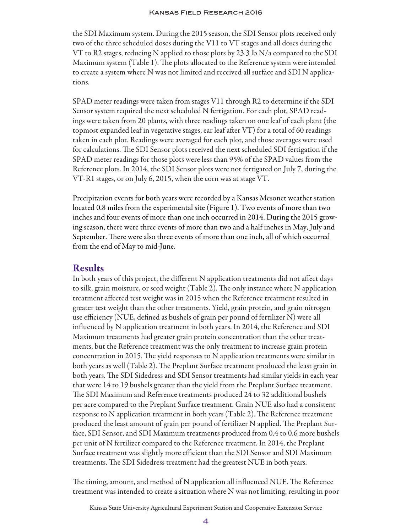the SDI Maximum system. During the 2015 season, the SDI Sensor plots received only two of the three scheduled doses during the V11 to VT stages and all doses during the VT to R2 stages, reducing N applied to those plots by 23.3 lb N/a compared to the SDI Maximum system (Table 1). The plots allocated to the Reference system were intended to create a system where N was not limited and received all surface and SDI N applications.

SPAD meter readings were taken from stages V11 through R2 to determine if the SDI Sensor system required the next scheduled N fertigation. For each plot, SPAD readings were taken from 20 plants, with three readings taken on one leaf of each plant (the topmost expanded leaf in vegetative stages, ear leaf after VT) for a total of 60 readings taken in each plot. Readings were averaged for each plot, and those averages were used for calculations. The SDI Sensor plots received the next scheduled SDI fertigation if the SPAD meter readings for those plots were less than 95% of the SPAD values from the Reference plots. In 2014, the SDI Sensor plots were not fertigated on July 7, during the VT-R1 stages, or on July 6, 2015, when the corn was at stage VT.

Precipitation events for both years were recorded by a Kansas Mesonet weather station located 0.8 miles from the experimental site (Figure 1). Two events of more than two inches and four events of more than one inch occurred in 2014. During the 2015 growing season, there were three events of more than two and a half inches in May, July and September. There were also three events of more than one inch, all of which occurred from the end of May to mid-June.

#### Results

In both years of this project, the different N application treatments did not affect days to silk, grain moisture, or seed weight (Table 2). The only instance where N application treatment affected test weight was in 2015 when the Reference treatment resulted in greater test weight than the other treatments. Yield, grain protein, and grain nitrogen use efficiency (NUE, defined as bushels of grain per pound of fertilizer N) were all influenced by N application treatment in both years. In 2014, the Reference and SDI Maximum treatments had greater grain protein concentration than the other treatments, but the Reference treatment was the only treatment to increase grain protein concentration in 2015. The yield responses to N application treatments were similar in both years as well (Table 2). The Preplant Surface treatment produced the least grain in both years. The SDI Sidedress and SDI Sensor treatments had similar yields in each year that were 14 to 19 bushels greater than the yield from the Preplant Surface treatment. The SDI Maximum and Reference treatments produced 24 to 32 additional bushels per acre compared to the Preplant Surface treatment. Grain NUE also had a consistent response to N application treatment in both years (Table 2). The Reference treatment produced the least amount of grain per pound of fertilizer N applied. The Preplant Surface, SDI Sensor, and SDI Maximum treatments produced from 0.4 to 0.6 more bushels per unit of N fertilizer compared to the Reference treatment. In 2014, the Preplant Surface treatment was slightly more efficient than the SDI Sensor and SDI Maximum treatments. The SDI Sidedress treatment had the greatest NUE in both years.

The timing, amount, and method of N application all influenced NUE. The Reference treatment was intended to create a situation where N was not limiting, resulting in poor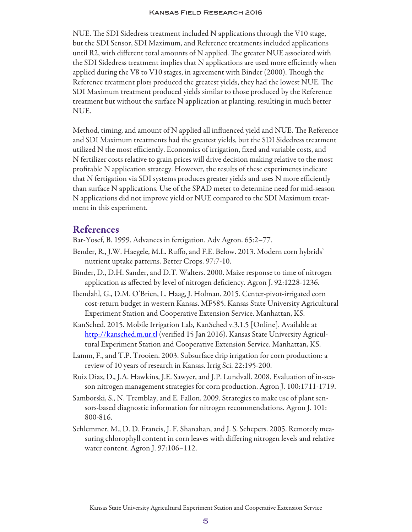NUE. The SDI Sidedress treatment included N applications through the V10 stage, but the SDI Sensor, SDI Maximum, and Reference treatments included applications until R2, with different total amounts of N applied. The greater NUE associated with the SDI Sidedress treatment implies that N applications are used more efficiently when applied during the V8 to V10 stages, in agreement with Binder (2000). Though the Reference treatment plots produced the greatest yields, they had the lowest NUE. The SDI Maximum treatment produced yields similar to those produced by the Reference treatment but without the surface N application at planting, resulting in much better NUE.

Method, timing, and amount of N applied all influenced yield and NUE. The Reference and SDI Maximum treatments had the greatest yields, but the SDI Sidedress treatment utilized N the most efficiently. Economics of irrigation, fixed and variable costs, and N fertilizer costs relative to grain prices will drive decision making relative to the most profitable N application strategy. However, the results of these experiments indicate that N fertigation via SDI systems produces greater yields and uses N more efficiently than surface N applications. Use of the SPAD meter to determine need for mid-season N applications did not improve yield or NUE compared to the SDI Maximum treatment in this experiment.

#### References

Bar-Yosef, B. 1999. Advances in fertigation. Adv Agron. 65:2–77.

- Bender, R., J.W. Haegele, M.L. Ruffo, and F.E. Below. 2013. Modern corn hybrids' nutrient uptake patterns. Better Crops. 97:7-10.
- Binder, D., D.H. Sander, and D.T. Walters. 2000. Maize response to time of nitrogen application as affected by level of nitrogen deficiency. Agron J. 92:1228-1236.
- Ibendahl, G., D.M. O'Brien, L. Haag, J. Holman. 2015. Center-pivot-irrigated corn cost-return budget in western Kansas. MF585. Kansas State University Agricultural Experiment Station and Cooperative Extension Service. Manhattan, KS.
- KanSched. 2015. Mobile Irrigation Lab, KanSched v.3.1.5 [Online]. Available at <http://kansched.m.ur.tl> (verified 15 Jan 2016). Kansas State University Agricultural Experiment Station and Cooperative Extension Service. Manhattan, KS.
- Lamm, F., and T.P. Trooien. 2003. Subsurface drip irrigation for corn production: a review of 10 years of research in Kansas. Irrig Sci. 22:195-200.
- Ruiz Diaz, D., J.A. Hawkins, J.E. Sawyer, and J.P. Lundvall. 2008. Evaluation of in-season nitrogen management strategies for corn production. Agron J. 100:1711-1719.
- Samborski, S., N. Tremblay, and E. Fallon. 2009. Strategies to make use of plant sensors-based diagnostic information for nitrogen recommendations. Agron J. 101: 800-816.
- Schlemmer, M., D. D. Francis, J. F. Shanahan, and J. S. Schepers. 2005. Remotely measuring chlorophyll content in corn leaves with differing nitrogen levels and relative water content. Agron J. 97:106–112.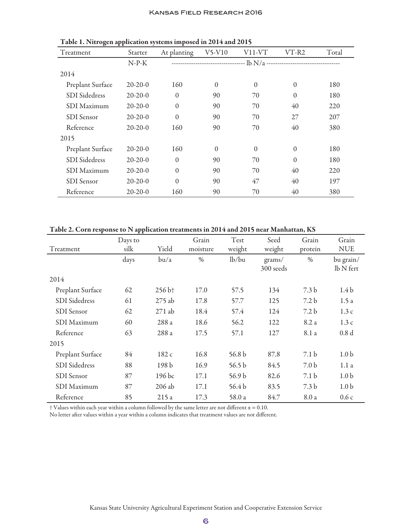| Treatment            | Starter   | At planting  | $V$ 5- $V$ 10 | $V11-VT$     | VT-R2    | Total |  |
|----------------------|-----------|--------------|---------------|--------------|----------|-------|--|
|                      | $N-P-K$   |              |               |              |          |       |  |
| 2014                 |           |              |               |              |          |       |  |
| Preplant Surface     | $20-20-0$ | 160          | $\Omega$      | $\Omega$     | $\theta$ | 180   |  |
| <b>SDI</b> Sidedress | $20-20-0$ | $\theta$     | 90            | 70           | $\theta$ | 180   |  |
| SDI Maximum          | $20-20-0$ | $\mathbf{0}$ | 90            | 70           | 40       | 220   |  |
| <b>SDI</b> Sensor    | $20-20-0$ | $\mathbf{0}$ | 90            | 70           | 27       | 207   |  |
| Reference            | $20-20-0$ | 160          | 90            | 70           | 40       | 380   |  |
| 2015                 |           |              |               |              |          |       |  |
| Preplant Surface     | $20-20-0$ | 160          | $\Omega$      | $\mathbf{0}$ | $\theta$ | 180   |  |
| <b>SDI</b> Sidedress | $20-20-0$ | $\Omega$     | 90            | 70           | $\theta$ | 180   |  |
| SDI Maximum          | $20-20-0$ | $\mathbf{0}$ | 90            | 70           | 40       | 220   |  |
| <b>SDI</b> Sensor    | $20-20-0$ | $\theta$     | 90            | 47           | 40       | 197   |  |
| Reference            | $20-20-0$ | 160          | 90            | 70           | 40       | 380   |  |

Table 1. Nitrogen application systems imposed in 2014 and 2015

#### Table 2. Corn response to N application treatments in 2014 and 2015 near Manhattan, KS

| Treatment            | Days to<br>silk | Yield                | Grain<br>moisture | Test<br>weight    | Seed<br>weight      | Grain<br>protein | Grain<br><b>NUE</b>    |
|----------------------|-----------------|----------------------|-------------------|-------------------|---------------------|------------------|------------------------|
|                      | days            | bu/a                 | $\%$              | lb/bu             | grams/<br>300 seeds | $\%$             | bu grain/<br>lb N fert |
| 2014                 |                 |                      |                   |                   |                     |                  |                        |
| Preplant Surface     | 62              | $256 b$ <sup>+</sup> | 17.0              | 57.5              | 134                 | 7.3 <sub>b</sub> | 1.4 <sub>b</sub>       |
| <b>SDI</b> Sidedress | 61              | $275$ ab             | 17.8              | 57.7              | 125                 | 7.2 <sub>b</sub> | 1.5a                   |
| <b>SDI</b> Sensor    | 62              | $271$ ab             | 18.4              | 57.4              | 124                 | 7.2 <sub>b</sub> | 1.3c                   |
| SDI Maximum          | 60              | 288 a                | 18.6              | 56.2              | 122                 | 8.2 a            | 1.3c                   |
| Reference            | 63              | 288 a                | 17.5              | 57.1              | 127                 | 8.1 a            | 0.8 <sub>d</sub>       |
| 2015                 |                 |                      |                   |                   |                     |                  |                        |
| Preplant Surface     | 84              | 182c                 | 16.8              | 56.8 <sub>b</sub> | 87.8                | 7.1 <sub>b</sub> | 1.0 <sub>b</sub>       |
| <b>SDI</b> Sidedress | 88              | 198 <sub>b</sub>     | 16.9              | 56.5 <sub>b</sub> | 84.5                | 7.0 <sub>b</sub> | 1.1a                   |
| <b>SDI</b> Sensor    | 87              | 196 bc               | 17.1              | 56.9 <sub>b</sub> | 82.6                | 7.1 <sub>b</sub> | 1.0 <sub>b</sub>       |
| SDI Maximum          | 87              | 206 ab               | 17.1              | 56.4 <sub>b</sub> | 83.5                | 7.3 <sub>b</sub> | 1.0 <sub>b</sub>       |
| Reference            | 85              | 215 a                | 17.3              | 58.0 a            | 84.7                | 8.0 a            | 0.6c                   |

 $\dagger$  Values within each year within a column followed by the same letter are not different  $\alpha = 0.10$ .

No letter after values within a year within a column indicates that treatment values are not different.